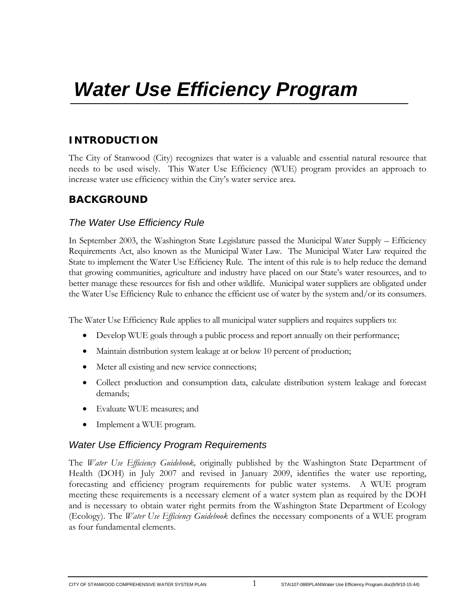# **INTRODUCTION**

The City of Stanwood (City) recognizes that water is a valuable and essential natural resource that needs to be used wisely. This Water Use Efficiency (WUE) program provides an approach to increase water use efficiency within the City's water service area.

## **BACKGROUND**

## *The Water Use Efficiency Rule*

In September 2003, the Washington State Legislature passed the Municipal Water Supply – Efficiency Requirements Act, also known as the Municipal Water Law. The Municipal Water Law required the State to implement the Water Use Efficiency Rule. The intent of this rule is to help reduce the demand that growing communities, agriculture and industry have placed on our State's water resources, and to better manage these resources for fish and other wildlife. Municipal water suppliers are obligated under the Water Use Efficiency Rule to enhance the efficient use of water by the system and/or its consumers.

The Water Use Efficiency Rule applies to all municipal water suppliers and requires suppliers to:

- Develop WUE goals through a public process and report annually on their performance;
- Maintain distribution system leakage at or below 10 percent of production;
- Meter all existing and new service connections;
- Collect production and consumption data, calculate distribution system leakage and forecast demands;
- Evaluate WUE measures; and
- Implement a WUE program.

## *Water Use Efficiency Program Requirements*

The *Water Use Efficiency Guidebook,* originally published by the Washington State Department of Health (DOH) in July 2007 and revised in January 2009, identifies the water use reporting, forecasting and efficiency program requirements for public water systems. A WUE program meeting these requirements is a necessary element of a water system plan as required by the DOH and is necessary to obtain water right permits from the Washington State Department of Ecology (Ecology). The *Water Use Efficiency Guidebook* defines the necessary components of a WUE program as four fundamental elements.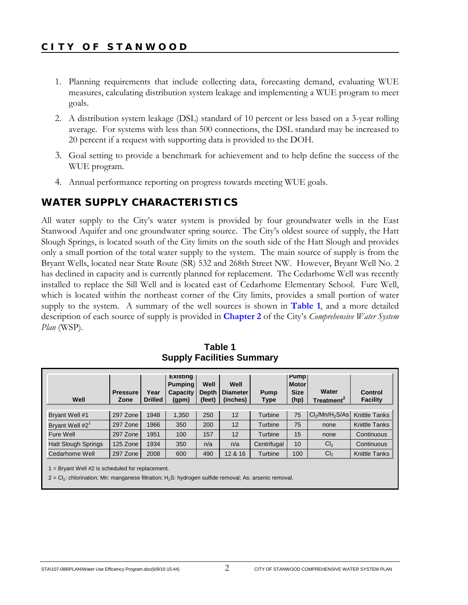- 1. Planning requirements that include collecting data, forecasting demand, evaluating WUE measures, calculating distribution system leakage and implementing a WUE program to meet goals.
- 2. A distribution system leakage (DSL) standard of 10 percent or less based on a 3-year rolling average. For systems with less than 500 connections, the DSL standard may be increased to 20 percent if a request with supporting data is provided to the DOH.
- 3. Goal setting to provide a benchmark for achievement and to help define the success of the WUE program.
- 4. Annual performance reporting on progress towards meeting WUE goals.

## **WATER SUPPLY CHARACTERISTICS**

All water supply to the City's water system is provided by four groundwater wells in the East Stanwood Aquifer and one groundwater spring source. The City's oldest source of supply, the Hatt Slough Springs, is located south of the City limits on the south side of the Hatt Slough and provides only a small portion of the total water supply to the system. The main source of supply is from the Bryant Wells, located near State Route (SR) 532 and 268th Street NW. However, Bryant Well No. 2 has declined in capacity and is currently planned for replacement. The Cedarhome Well was recently installed to replace the Sill Well and is located east of Cedarhome Elementary School. Fure Well, which is located within the northeast corner of the City limits, provides a small portion of water supply to the system. A summary of the well sources is shown in **Table 1**, and a more detailed description of each source of supply is provided in **Chapter 2** of the City's *Comprehensive Water System Plan* (WSP).

| Well                        | <b>Pressure</b><br>Zone | Year<br><b>Drilled</b> | <b>Existing</b><br><b>Pumping</b><br>Capacity<br>(gpm) | Well<br><b>Depth</b><br>(feet) | Well<br><b>Diameter</b><br>(inches) | Pump<br>Type | <b>Pump</b><br><b>Motor</b><br><b>Size</b><br>(hp) | Water<br>Treatment <sup>2</sup>         | <b>Control</b><br><b>Facility</b> |
|-----------------------------|-------------------------|------------------------|--------------------------------------------------------|--------------------------------|-------------------------------------|--------------|----------------------------------------------------|-----------------------------------------|-----------------------------------|
| Bryant Well #1              | 297 Zone                | 1948                   | 1.350                                                  | 250                            | 12                                  | Turbine      | 75                                                 | Cl <sub>2</sub> /Mn/H <sub>2</sub> S/As | <b>Knittle Tanks</b>              |
| Bryant Well #2 <sup>1</sup> | 297 Zone                | 1966                   | 350                                                    | 200                            | 12                                  | Turbine      | 75                                                 | none                                    | <b>Knittle Tanks</b>              |
| Fure Well                   | 297 Zone                | 1951                   | 100                                                    | 157                            | 12                                  | Turbine      | 15                                                 | none                                    | Continuous                        |
| <b>Hatt Slough Springs</b>  | 125 Zone                | 1934                   | 350                                                    | n/a                            | n/a                                 | Centrifugal  | 10                                                 | Cl <sub>2</sub>                         | Continuous                        |
| Cedarhome Well              | 297 Zone                | 2008                   | 600                                                    | 490                            | 12 & 16                             | Turbine      | 100                                                | Cl <sub>2</sub>                         | Knittle Tanks                     |

**Table 1 Supply Facilities Summary** 

1 = Bryant Well #2 is scheduled for replacement.

 $2 = Cl<sub>2</sub>$ : chlorination; Mn: manganese filtration; H<sub>2</sub>S: hydrogen sulfide removal; As: arsenic removal.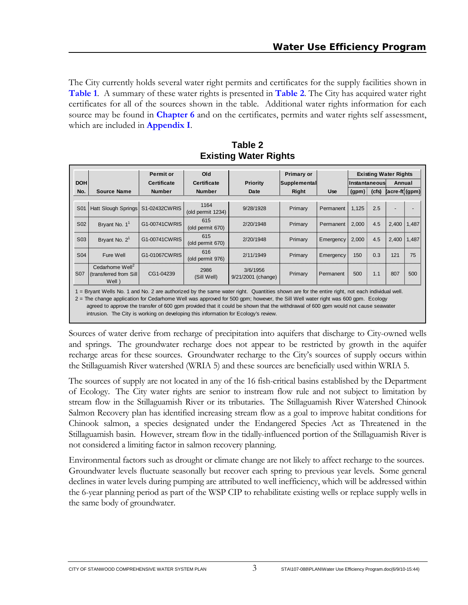The City currently holds several water right permits and certificates for the supply facilities shown in **Table 1**. A summary of these water rights is presented in **Table 2**. The City has acquired water right certificates for all of the sources shown in the table. Additional water rights information for each source may be found in **Chapter 6** and on the certificates, permits and water rights self assessment, which are included in **Appendix I**.

|                 |                                                                                                                                                                                                                                                                                                                                                                                                                                                                                                              | <b>Permit or</b><br>Old<br>Primary or |                                       |                                |              | <b>Existing Water Rights</b> |               |     |                  |       |
|-----------------|--------------------------------------------------------------------------------------------------------------------------------------------------------------------------------------------------------------------------------------------------------------------------------------------------------------------------------------------------------------------------------------------------------------------------------------------------------------------------------------------------------------|---------------------------------------|---------------------------------------|--------------------------------|--------------|------------------------------|---------------|-----|------------------|-------|
| <b>DOH</b>      |                                                                                                                                                                                                                                                                                                                                                                                                                                                                                                              | <b>Certificate</b>                    | <b>Certificate</b><br><b>Priority</b> |                                | Supplemental |                              | Instantaneous |     | Annual           |       |
| No.             | <b>Source Name</b>                                                                                                                                                                                                                                                                                                                                                                                                                                                                                           | <b>Number</b>                         | <b>Number</b>                         | Date                           | Right        | <b>Use</b>                   | $(gpm)$ (cfs) |     | $(acre-ft)(gpm)$ |       |
| S <sub>01</sub> | <b>Hatt Slough Springs</b>                                                                                                                                                                                                                                                                                                                                                                                                                                                                                   | S1-02432CWRIS                         | 1164<br>(old permit 1234)             | 9/28/1928                      | Primary      | Permanent                    | 1,125         | 2.5 |                  |       |
| S <sub>02</sub> | Bryant No. $1^1$                                                                                                                                                                                                                                                                                                                                                                                                                                                                                             | G1-00741CWRIS                         | 615<br>(old permit 670)               | 2/20/1948                      | Primary      | Permanent                    | 2,000         | 4.5 | 2,400            | 1,487 |
| S <sub>03</sub> | Bryant No. $21$                                                                                                                                                                                                                                                                                                                                                                                                                                                                                              | G1-00741CWRIS                         | 615<br>(old permit 670)               | 2/20/1948                      | Primary      | Emergency                    | 2,000         | 4.5 | 2,400            | 1,487 |
| S <sub>04</sub> | Fure Well                                                                                                                                                                                                                                                                                                                                                                                                                                                                                                    | G1-01067CWRIS                         | 616<br>(old permit 976)               | 2/11/1949                      | Primary      | Emergency                    | 150           | 0.3 | 121              | 75    |
| <b>S07</b>      | Cedarhome Well <sup>2</sup><br>(transferred from Sill<br>Well)                                                                                                                                                                                                                                                                                                                                                                                                                                               | CG1-04239                             | 2986<br>(Sill Well)                   | 3/6/1956<br>9/21/2001 (change) | Primary      | Permanent                    | 500           | 1.1 | 807              | 500   |
|                 | 1 = Bryant Wells No. 1 and No. 2 are authorized by the same water right. Quantities shown are for the entire right, not each individual well.<br>2 = The change application for Cedarhome Well was approved for 500 gpm; however, the Sill Well water right was 600 gpm. Ecology<br>agreed to approve the transfer of 600 gpm provided that it could be shown that the withdrawal of 600 gpm would not cause seawater<br>intrusion. The City is working on developing this information for Ecology's review. |                                       |                                       |                                |              |                              |               |     |                  |       |

**Table 2 Existing Water Rights** 

Sources of water derive from recharge of precipitation into aquifers that discharge to City-owned wells and springs. The groundwater recharge does not appear to be restricted by growth in the aquifer recharge areas for these sources. Groundwater recharge to the City's sources of supply occurs within the Stillaguamish River watershed (WRIA 5) and these sources are beneficially used within WRIA 5.

The sources of supply are not located in any of the 16 fish-critical basins established by the Department of Ecology. The City water rights are senior to instream flow rule and not subject to limitation by stream flow in the Stillaguamish River or its tributaries. The Stillaguamish River Watershed Chinook Salmon Recovery plan has identified increasing stream flow as a goal to improve habitat conditions for Chinook salmon, a species designated under the Endangered Species Act as Threatened in the Stillaguamish basin. However, stream flow in the tidally-influenced portion of the Stillaguamish River is not considered a limiting factor in salmon recovery planning.

Environmental factors such as drought or climate change are not likely to affect recharge to the sources. Groundwater levels fluctuate seasonally but recover each spring to previous year levels. Some general declines in water levels during pumping are attributed to well inefficiency, which will be addressed within the 6-year planning period as part of the WSP CIP to rehabilitate existing wells or replace supply wells in the same body of groundwater.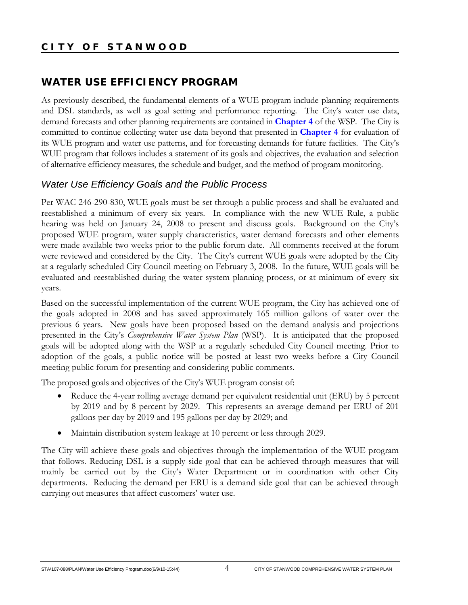## **WATER USE EFFICIENCY PROGRAM**

As previously described, the fundamental elements of a WUE program include planning requirements and DSL standards, as well as goal setting and performance reporting. The City's water use data, demand forecasts and other planning requirements are contained in **Chapter 4** of the WSP. The City is committed to continue collecting water use data beyond that presented in **Chapter 4** for evaluation of its WUE program and water use patterns, and for forecasting demands for future facilities. The City's WUE program that follows includes a statement of its goals and objectives, the evaluation and selection of alternative efficiency measures, the schedule and budget, and the method of program monitoring.

## *Water Use Efficiency Goals and the Public Process*

Per WAC 246-290-830, WUE goals must be set through a public process and shall be evaluated and reestablished a minimum of every six years. In compliance with the new WUE Rule, a public hearing was held on January 24, 2008 to present and discuss goals. Background on the City's proposed WUE program, water supply characteristics, water demand forecasts and other elements were made available two weeks prior to the public forum date. All comments received at the forum were reviewed and considered by the City. The City's current WUE goals were adopted by the City at a regularly scheduled City Council meeting on February 3, 2008. In the future, WUE goals will be evaluated and reestablished during the water system planning process, or at minimum of every six years.

Based on the successful implementation of the current WUE program, the City has achieved one of the goals adopted in 2008 and has saved approximately 165 million gallons of water over the previous 6 years. New goals have been proposed based on the demand analysis and projections presented in the City's *Comprehensive Water System Plan* (WSP). It is anticipated that the proposed goals will be adopted along with the WSP at a regularly scheduled City Council meeting. Prior to adoption of the goals, a public notice will be posted at least two weeks before a City Council meeting public forum for presenting and considering public comments.

The proposed goals and objectives of the City's WUE program consist of:

- Reduce the 4-year rolling average demand per equivalent residential unit (ERU) by 5 percent by 2019 and by 8 percent by 2029. This represents an average demand per ERU of 201 gallons per day by 2019 and 195 gallons per day by 2029; and
- Maintain distribution system leakage at 10 percent or less through 2029.

The City will achieve these goals and objectives through the implementation of the WUE program that follows. Reducing DSL is a supply side goal that can be achieved through measures that will mainly be carried out by the City's Water Department or in coordination with other City departments. Reducing the demand per ERU is a demand side goal that can be achieved through carrying out measures that affect customers' water use.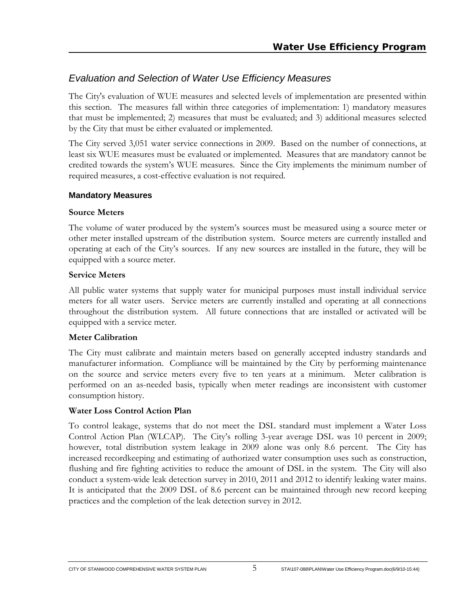## *Evaluation and Selection of Water Use Efficiency Measures*

The City's evaluation of WUE measures and selected levels of implementation are presented within this section. The measures fall within three categories of implementation: 1) mandatory measures that must be implemented; 2) measures that must be evaluated; and 3) additional measures selected by the City that must be either evaluated or implemented.

The City served 3,051 water service connections in 2009. Based on the number of connections, at least six WUE measures must be evaluated or implemented. Measures that are mandatory cannot be credited towards the system's WUE measures. Since the City implements the minimum number of required measures, a cost-effective evaluation is not required.

#### **Mandatory Measures**

### **Source Meters**

The volume of water produced by the system's sources must be measured using a source meter or other meter installed upstream of the distribution system. Source meters are currently installed and operating at each of the City's sources. If any new sources are installed in the future, they will be equipped with a source meter.

### **Service Meters**

All public water systems that supply water for municipal purposes must install individual service meters for all water users. Service meters are currently installed and operating at all connections throughout the distribution system. All future connections that are installed or activated will be equipped with a service meter.

#### **Meter Calibration**

The City must calibrate and maintain meters based on generally accepted industry standards and manufacturer information. Compliance will be maintained by the City by performing maintenance on the source and service meters every five to ten years at a minimum. Meter calibration is performed on an as-needed basis, typically when meter readings are inconsistent with customer consumption history.

### **Water Loss Control Action Plan**

To control leakage, systems that do not meet the DSL standard must implement a Water Loss Control Action Plan (WLCAP). The City's rolling 3-year average DSL was 10 percent in 2009; however, total distribution system leakage in 2009 alone was only 8.6 percent. The City has increased recordkeeping and estimating of authorized water consumption uses such as construction, flushing and fire fighting activities to reduce the amount of DSL in the system. The City will also conduct a system-wide leak detection survey in 2010, 2011 and 2012 to identify leaking water mains. It is anticipated that the 2009 DSL of 8.6 percent can be maintained through new record keeping practices and the completion of the leak detection survey in 2012.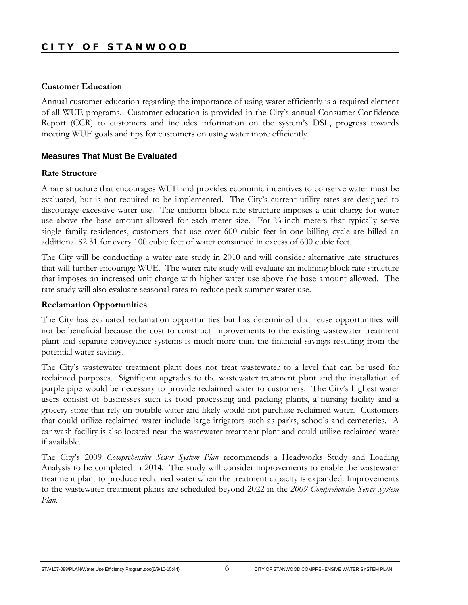#### **Customer Education**

Annual customer education regarding the importance of using water efficiently is a required element of all WUE programs. Customer education is provided in the City's annual Consumer Confidence Report (CCR) to customers and includes information on the system's DSL, progress towards meeting WUE goals and tips for customers on using water more efficiently.

#### **Measures That Must Be Evaluated**

#### **Rate Structure**

A rate structure that encourages WUE and provides economic incentives to conserve water must be evaluated, but is not required to be implemented. The City's current utility rates are designed to discourage excessive water use. The uniform block rate structure imposes a unit charge for water use above the base amount allowed for each meter size. For  $\frac{3}{4}$ -inch meters that typically serve single family residences, customers that use over 600 cubic feet in one billing cycle are billed an additional \$2.31 for every 100 cubic feet of water consumed in excess of 600 cubic feet.

The City will be conducting a water rate study in 2010 and will consider alternative rate structures that will further encourage WUE. The water rate study will evaluate an inclining block rate structure that imposes an increased unit charge with higher water use above the base amount allowed. The rate study will also evaluate seasonal rates to reduce peak summer water use.

#### **Reclamation Opportunities**

The City has evaluated reclamation opportunities but has determined that reuse opportunities will not be beneficial because the cost to construct improvements to the existing wastewater treatment plant and separate conveyance systems is much more than the financial savings resulting from the potential water savings.

The City's wastewater treatment plant does not treat wastewater to a level that can be used for reclaimed purposes. Significant upgrades to the wastewater treatment plant and the installation of purple pipe would be necessary to provide reclaimed water to customers. The City's highest water users consist of businesses such as food processing and packing plants, a nursing facility and a grocery store that rely on potable water and likely would not purchase reclaimed water. Customers that could utilize reclaimed water include large irrigators such as parks, schools and cemeteries. A car wash facility is also located near the wastewater treatment plant and could utilize reclaimed water if available.

The City's 2009 *Comprehensive Sewer System Plan* recommends a Headworks Study and Loading Analysis to be completed in 2014. The study will consider improvements to enable the wastewater treatment plant to produce reclaimed water when the treatment capacity is expanded. Improvements to the wastewater treatment plants are scheduled beyond 2022 in the *2009 Comprehensive Sewer System Plan*.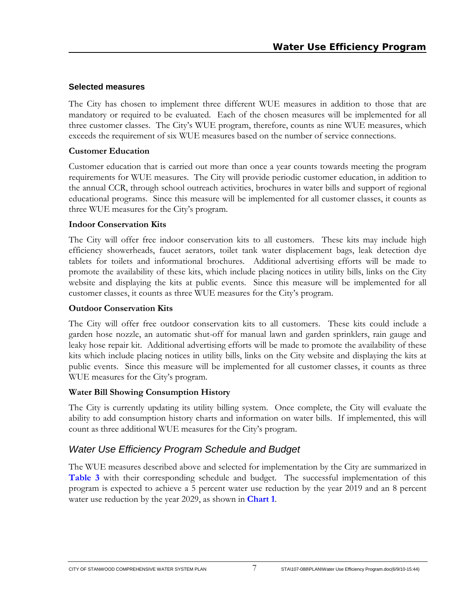### **Selected measures**

The City has chosen to implement three different WUE measures in addition to those that are mandatory or required to be evaluated. Each of the chosen measures will be implemented for all three customer classes. The City's WUE program, therefore, counts as nine WUE measures, which exceeds the requirement of six WUE measures based on the number of service connections.

### **Customer Education**

Customer education that is carried out more than once a year counts towards meeting the program requirements for WUE measures. The City will provide periodic customer education, in addition to the annual CCR, through school outreach activities, brochures in water bills and support of regional educational programs. Since this measure will be implemented for all customer classes, it counts as three WUE measures for the City's program.

### **Indoor Conservation Kits**

The City will offer free indoor conservation kits to all customers. These kits may include high efficiency showerheads, faucet aerators, toilet tank water displacement bags, leak detection dye tablets for toilets and informational brochures. Additional advertising efforts will be made to promote the availability of these kits, which include placing notices in utility bills, links on the City website and displaying the kits at public events. Since this measure will be implemented for all customer classes, it counts as three WUE measures for the City's program.

### **Outdoor Conservation Kits**

The City will offer free outdoor conservation kits to all customers. These kits could include a garden hose nozzle, an automatic shut-off for manual lawn and garden sprinklers, rain gauge and leaky hose repair kit. Additional advertising efforts will be made to promote the availability of these kits which include placing notices in utility bills, links on the City website and displaying the kits at public events. Since this measure will be implemented for all customer classes, it counts as three WUE measures for the City's program.

### **Water Bill Showing Consumption History**

The City is currently updating its utility billing system. Once complete, the City will evaluate the ability to add consumption history charts and information on water bills. If implemented, this will count as three additional WUE measures for the City's program.

# *Water Use Efficiency Program Schedule and Budget*

The WUE measures described above and selected for implementation by the City are summarized in **Table 3** with their corresponding schedule and budget. The successful implementation of this program is expected to achieve a 5 percent water use reduction by the year 2019 and an 8 percent water use reduction by the year 2029, as shown in **Chart 1**.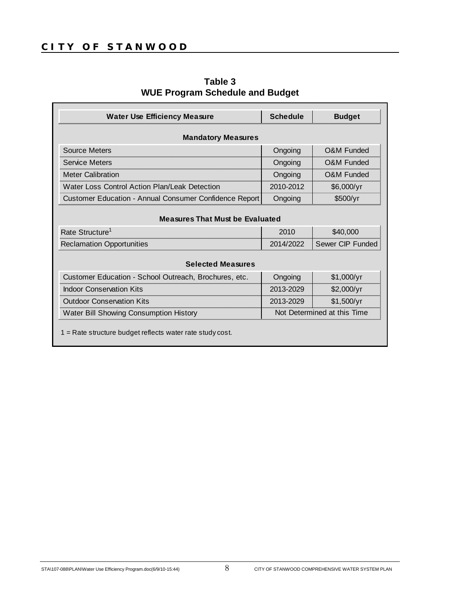| <b>Water Use Efficiency Measure</b>                         | <b>Schedule</b>             | <b>Budget</b>         |  |  |  |  |  |
|-------------------------------------------------------------|-----------------------------|-----------------------|--|--|--|--|--|
| <b>Mandatory Measures</b>                                   |                             |                       |  |  |  |  |  |
| Source Meters                                               | Ongoing                     | O&M Funded            |  |  |  |  |  |
| <b>Service Meters</b>                                       | Ongoing                     | <b>O&amp;M Funded</b> |  |  |  |  |  |
| <b>Meter Calibration</b>                                    | Ongoing                     | <b>O&amp;M Funded</b> |  |  |  |  |  |
| Water Loss Control Action Plan/Leak Detection               | 2010-2012                   | \$6,000/yr            |  |  |  |  |  |
| Customer Education - Annual Consumer Confidence Report      | Ongoing                     | \$500/yr              |  |  |  |  |  |
| <b>Measures That Must be Evaluated</b>                      |                             |                       |  |  |  |  |  |
| Rate Structure <sup>1</sup>                                 | 2010                        | \$40,000              |  |  |  |  |  |
| <b>Reclamation Opportunities</b>                            | 2014/2022                   | Sewer CIP Funded      |  |  |  |  |  |
| <b>Selected Measures</b>                                    |                             |                       |  |  |  |  |  |
| Customer Education - School Outreach, Brochures, etc.       | Ongoing                     | \$1,000/yr            |  |  |  |  |  |
| <b>Indoor Conservation Kits</b>                             | 2013-2029                   | \$2,000/yr            |  |  |  |  |  |
| <b>Outdoor Conservation Kits</b>                            | 2013-2029                   | \$1,500/yr            |  |  |  |  |  |
| Water Bill Showing Consumption History                      | Not Determined at this Time |                       |  |  |  |  |  |
| $1 =$ Rate structure budget reflects water rate study cost. |                             |                       |  |  |  |  |  |

**Table 3 WUE Program Schedule and Budget**